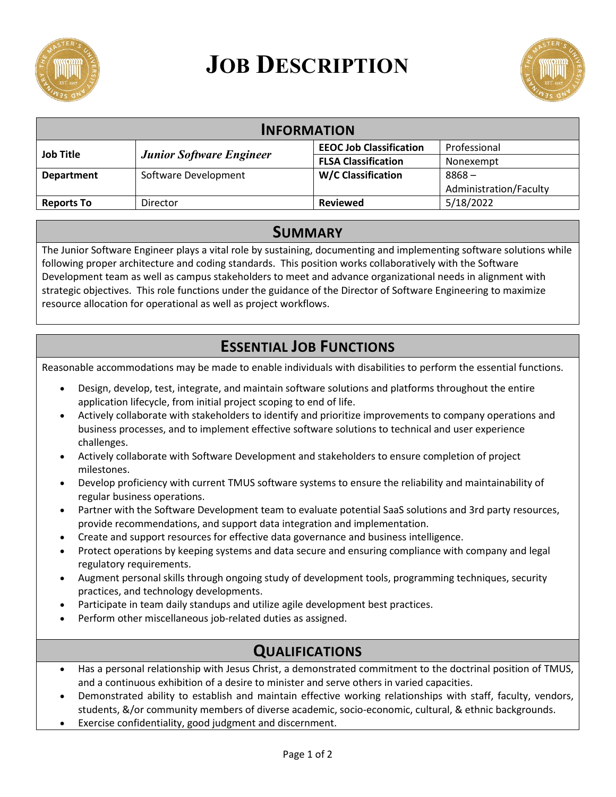

# **JOB DESCRIPTION**



| <b>INFORMATION</b> |                                 |                                |                        |
|--------------------|---------------------------------|--------------------------------|------------------------|
| <b>Job Title</b>   | <b>Junior Software Engineer</b> | <b>EEOC Job Classification</b> | Professional           |
|                    |                                 | <b>FLSA Classification</b>     | Nonexempt              |
| <b>Department</b>  | Software Development            | <b>W/C Classification</b>      | $8868 -$               |
|                    |                                 |                                | Administration/Faculty |
| <b>Reports To</b>  | Director                        | <b>Reviewed</b>                | 5/18/2022              |

#### **SUMMARY**

The Junior Software Engineer plays a vital role by sustaining, documenting and implementing software solutions while following proper architecture and coding standards. This position works collaboratively with the Software Development team as well as campus stakeholders to meet and advance organizational needs in alignment with strategic objectives. This role functions under the guidance of the Director of Software Engineering to maximize resource allocation for operational as well as project workflows.

# **ESSENTIAL JOB FUNCTIONS**

Reasonable accommodations may be made to enable individuals with disabilities to perform the essential functions.

- Design, develop, test, integrate, and maintain software solutions and platforms throughout the entire application lifecycle, from initial project scoping to end of life.
- Actively collaborate with stakeholders to identify and prioritize improvements to company operations and business processes, and to implement effective software solutions to technical and user experience challenges.
- Actively collaborate with Software Development and stakeholders to ensure completion of project milestones.
- Develop proficiency with current TMUS software systems to ensure the reliability and maintainability of regular business operations.
- Partner with the Software Development team to evaluate potential SaaS solutions and 3rd party resources, provide recommendations, and support data integration and implementation.
- Create and support resources for effective data governance and business intelligence.
- Protect operations by keeping systems and data secure and ensuring compliance with company and legal regulatory requirements.
- Augment personal skills through ongoing study of development tools, programming techniques, security practices, and technology developments.
- Participate in team daily standups and utilize agile development best practices.
- Perform other miscellaneous job-related duties as assigned.

# **QUALIFICATIONS**

- Has a personal relationship with Jesus Christ, a demonstrated commitment to the doctrinal position of TMUS, and a continuous exhibition of a desire to minister and serve others in varied capacities.
- Demonstrated ability to establish and maintain effective working relationships with staff, faculty, vendors, students, &/or community members of diverse academic, socio-economic, cultural, & ethnic backgrounds.
- Exercise confidentiality, good judgment and discernment.